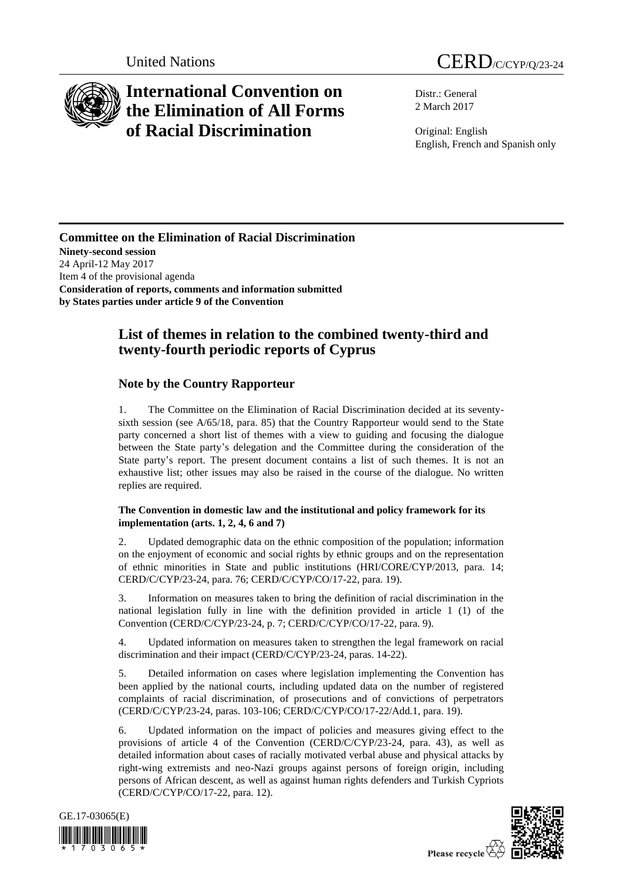

# **International Convention on the Elimination of All Forms of Racial Discrimination**

Distr.: General 2 March 2017

Original: English English, French and Spanish only

### **Committee on the Elimination of Racial Discrimination Ninety-second session** 24 April-12 May 2017 Item 4 of the provisional agenda **Consideration of reports, comments and information submitted by States parties under article 9 of the Convention**

## **List of themes in relation to the combined twenty-third and twenty-fourth periodic reports of Cyprus**

## **Note by the Country Rapporteur**

1. The Committee on the Elimination of Racial Discrimination decided at its seventysixth session (see A/65/18, para. 85) that the Country Rapporteur would send to the State party concerned a short list of themes with a view to guiding and focusing the dialogue between the State party's delegation and the Committee during the consideration of the State party's report. The present document contains a list of such themes. It is not an exhaustive list; other issues may also be raised in the course of the dialogue. No written replies are required.

### **The Convention in domestic law and the institutional and policy framework for its implementation (arts. 1, 2, 4, 6 and 7)**

2. Updated demographic data on the ethnic composition of the population; information on the enjoyment of economic and social rights by ethnic groups and on the representation of ethnic minorities in State and public institutions (HRI/CORE/CYP/2013, para. 14; CERD/C/CYP/23-24, para. 76; CERD/C/CYP/CO/17-22, para. 19).

3. Information on measures taken to bring the definition of racial discrimination in the national legislation fully in line with the definition provided in article 1 (1) of the Convention (CERD/C/CYP/23-24, p. 7; CERD/C/CYP/CO/17-22, para. 9).

4. Updated information on measures taken to strengthen the legal framework on racial discrimination and their impact (CERD/C/CYP/23-24, paras. 14-22).

5. Detailed information on cases where legislation implementing the Convention has been applied by the national courts, including updated data on the number of registered complaints of racial discrimination, of prosecutions and of convictions of perpetrators (CERD/C/CYP/23-24, paras. 103-106; CERD/C/CYP/CO/17-22/Add.1, para. 19).

6. Updated information on the impact of policies and measures giving effect to the provisions of article 4 of the Convention (CERD/C/CYP/23-24, para. 43), as well as detailed information about cases of racially motivated verbal abuse and physical attacks by right-wing extremists and neo-Nazi groups against persons of foreign origin, including persons of African descent, as well as against human rights defenders and Turkish Cypriots (CERD/C/CYP/CO/17-22, para. 12).





Please recycle  $\overleftrightarrow{G}$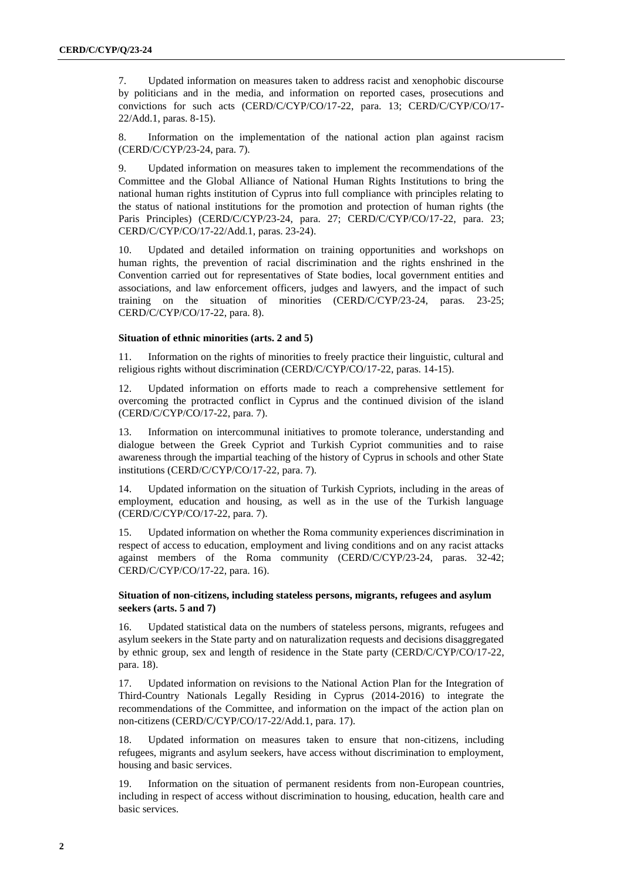7. Updated information on measures taken to address racist and xenophobic discourse by politicians and in the media, and information on reported cases, prosecutions and convictions for such acts (CERD/C/CYP/CO/17-22, para. 13; CERD/C/CYP/CO/17- 22/Add.1, paras. 8-15).

8. Information on the implementation of the national action plan against racism (CERD/C/CYP/23-24, para. 7).

9. Updated information on measures taken to implement the recommendations of the Committee and the Global Alliance of National Human Rights Institutions to bring the national human rights institution of Cyprus into full compliance with principles relating to the status of national institutions for the promotion and protection of human rights (the Paris Principles) (CERD/C/CYP/23-24, para. 27; CERD/C/CYP/CO/17-22, para. 23; CERD/C/CYP/CO/17-22/Add.1, paras. 23-24).

10. Updated and detailed information on training opportunities and workshops on human rights, the prevention of racial discrimination and the rights enshrined in the Convention carried out for representatives of State bodies, local government entities and associations, and law enforcement officers, judges and lawyers, and the impact of such training on the situation of minorities (CERD/C/CYP/23-24, paras. 23-25; CERD/C/CYP/CO/17-22, para. 8).

#### **Situation of ethnic minorities (arts. 2 and 5)**

11. Information on the rights of minorities to freely practice their linguistic, cultural and religious rights without discrimination (CERD/C/CYP/CO/17-22, paras. 14-15).

12. Updated information on efforts made to reach a comprehensive settlement for overcoming the protracted conflict in Cyprus and the continued division of the island (CERD/C/CYP/CO/17-22, para. 7).

13. Information on intercommunal initiatives to promote tolerance, understanding and dialogue between the Greek Cypriot and Turkish Cypriot communities and to raise awareness through the impartial teaching of the history of Cyprus in schools and other State institutions (CERD/C/CYP/CO/17-22, para. 7).

14. Updated information on the situation of Turkish Cypriots, including in the areas of employment, education and housing, as well as in the use of the Turkish language (CERD/C/CYP/CO/17-22, para. 7).

15. Updated information on whether the Roma community experiences discrimination in respect of access to education, employment and living conditions and on any racist attacks against members of the Roma community (CERD/C/CYP/23-24, paras. 32-42; CERD/C/CYP/CO/17-22, para. 16).

#### **Situation of non-citizens, including stateless persons, migrants, refugees and asylum seekers (arts. 5 and 7)**

16. Updated statistical data on the numbers of stateless persons, migrants, refugees and asylum seekers in the State party and on naturalization requests and decisions disaggregated by ethnic group, sex and length of residence in the State party (CERD/C/CYP/CO/17-22, para. 18).

17. Updated information on revisions to the National Action Plan for the Integration of Third-Country Nationals Legally Residing in Cyprus (2014-2016) to integrate the recommendations of the Committee, and information on the impact of the action plan on non-citizens (CERD/C/CYP/CO/17-22/Add.1, para. 17).

18. Updated information on measures taken to ensure that non-citizens, including refugees, migrants and asylum seekers, have access without discrimination to employment, housing and basic services.

19. Information on the situation of permanent residents from non-European countries, including in respect of access without discrimination to housing, education, health care and basic services.